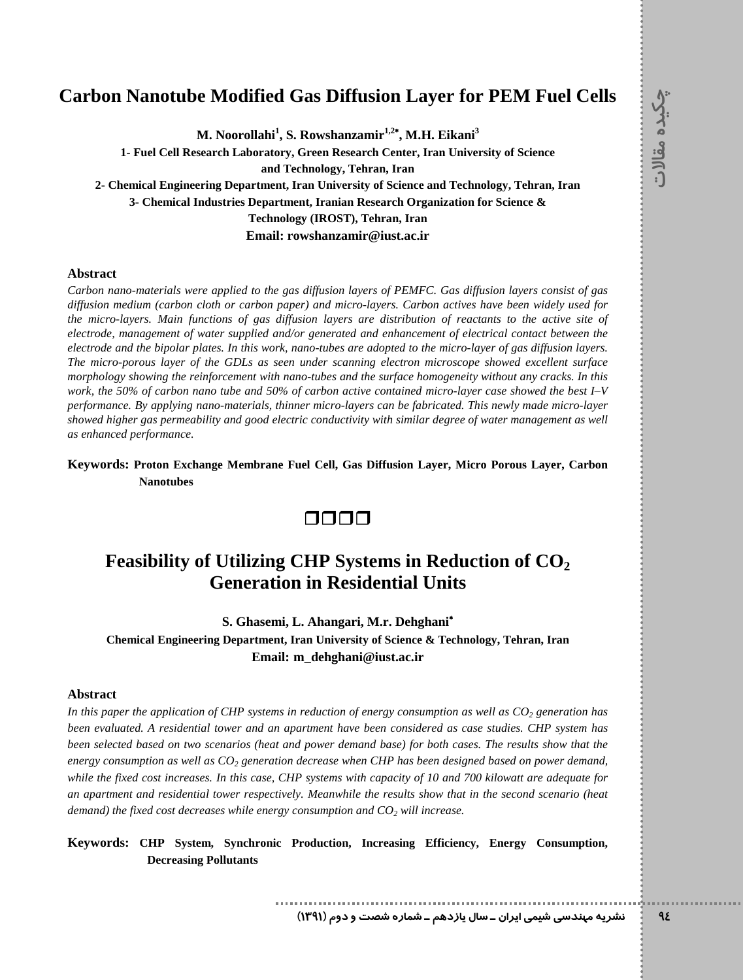### **Carbon Nanotube Modified Gas Diffusion Layer for PEM Fuel Cells <sup>q</sup>**

**M. Noorollahi<sup>1</sup> , S. Rowshanzamir 1,2 , M.H. Eikani<sup>3</sup>**

**1- Fuel Cell Research Laboratory, Green Research Center, Iran University of Science and Technology, Tehran, Iran**

**2- Chemical Engineering Department, Iran University of Science and Technology, Tehran, Iran 3- Chemical Industries Department, Iranian Research Organization for Science & Technology (IROST), Tehran, Iran Email: [rowshanzamir@iust.ac.ir](mailto:rowshanzamir@iust.ac.ir)**

### **Abstract**

Carbon nano-materials were applied to the gas diffusion layers of PEMFC. Gas diffusion layers consist of gas diffusion medium (carbon cloth or carbon paper) and micro-layers. Carbon actives have been widely used for the micro-layers. Main functions of gas diffusion layers are distribution of reactants to the active site of<br>electrode, management of water supplied and/or generated and enhancement of electrical contact between the electrode and the bipolar plates. In this work, nano-tubes are adopted to the micro-layer of gas diffusion layers. *The micro-porous layer of the GDLs as seen under scanning electron microscope showed excellent surface morphology showing the reinforcement with nano-tubes and the surface homogeneity without any cracks. In this* The micro-porous layer of the GDLs as seen under scanning electron microscope showed excellent surface<br>morphology showing the reinforcement with nano-tubes and the surface homogeneity without any cracks. In this<br>work, the *performance. By applying nano-materials, thinner micro-layers can be fabricated. This newly made micro-layer showed higher gas permeability and good electric conductivity with similar degree of water management as well as enhanced performance.*

### **Keywords: Proton Exchange Membrane Fuel Cell, Gas Diffusion Layer, Micro Porous Layer, Carbon Nanotubes**

### $\Box$  $\Box$  $\Box$

# **Feasibility of Utilizing CHP Systems in Reduction of CO<sup>2</sup> Generation in Residential Units**

**S. Ghasemi, L. Ahangari, M.r. Dehghani Chemical Engineering Department, Iran University of Science & Technology, Tehran, Iran Email: [m\\_dehghani@iust.ac.ir](mailto:m_dehghani@iust.ac.ir)**

### **Abstract**

In this paper the application of CHP systems in reduction of energy consumption as well as  $CO<sub>2</sub>$  generation has *been evaluated. A residential tower and an apartment have been considered as case studies. CHP system has* been selected based on two scenarios (heat and power demand base) for both cases. The results show that the *energy consumption as well as CO<sup>2</sup> generation decrease when CHP hasbeen designed based on power demand,* while the fixed cost increases. In this case, CHP systems with capacity of 10 and 700 kilowatt are adequate for *an apartment and residential tower respectively. Meanwhile the results show that in the second scenario (heat demand) the fixed cost decreases while energy consumption and CO<sup>2</sup> will increase.*

**Keywords: CHP System, Synchronic Production, Increasing Efficiency, Energy Consumption, Decreasing Pollutants**

**¹Á{ Á d ÃZ¼ / ºÅ{ZË µZ / ½YËY 'Ì Ê|ÀÆ» ÄË¿**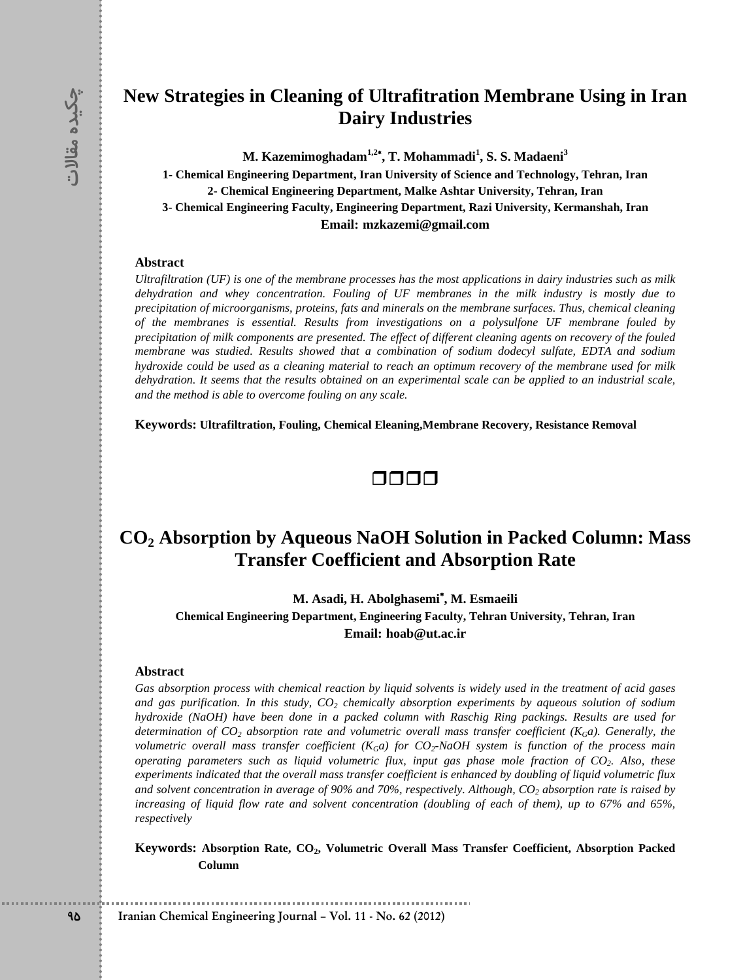# **|̰qNew Strategies in Cleaning of Ultrafitration Membrane Using in Iran Dairy Industries**

**M. Kazemimoghadam 1,2 , T. Mohammadi<sup>1</sup> , S. S. Madaeni<sup>3</sup>**

 **2- Chemical Engineering Department, Malke Ashtar University, Tehran, Iran 1- Chemical Engineering Department, Iran University of Science and Technology, Tehran, Iran 3- Chemical Engineering Faculty, Engineering Department, Razi University, Kermanshah, Iran Email: [mzkazemi@gmail.c](mailto:mzkazemi@iust.ac.ir)[om](mailto:mzkazemi@gmail.com)**

#### **Abstract**

Ultrafiltration (UF) is one of the membrane processes has the most applications in dairy industries such as milk *dehydration and whey concentration. Fouling of UF membranes in the milk industry is mostly due to precipitation of microorganisms, proteins, fats and minerals on the membrane surfaces. Thus, chemical cleaning of the membranes is essential. Results from investigations on a polysulfone UF membrane fouled by* precipitation of milk components are presented. The effect of different cleaning agents on recovery of the fouled *membrane was studied. Results showed that a combination of sodium dodecyl sulfate, EDTA and sodium* hydroxide could be used as a cleaning material to reach an optimum recovery of the membrane used for milk dehydration. It seems that the results obtained on an experimental scale can be applied to an industrial scale, *and the method is able to overcome fouling on any scale.*

**Keywords: Ultrafiltration, Fouling, Chemical Eleaning,Membrane Recovery, Resistance Removal**



# **CO<sup>2</sup> Absorption by Aqueous NaOH Solution in Packed Column: Mass Transfer Coefficient and Absorption Rate**

**M. Asadi, H. Abolghasemi , M. Esmaeili**

**Chemical Engineering Department, Engineering Faculty, Tehran University, Tehran, Iran Email: [hoab@ut.ac.ir](mailto:hoab@ut.ac.ir)**

#### **Abstract**

Gas absorption process with chemical reaction by liquid solvents is widely used in the treatment of acid gases *and gas purification. In this study, CO<sup>2</sup> chemically absorption experiments by aqueous solution of sodium hydroxide (NaOH) have been done in a packed column with Raschig Ring packings. Results are used for* determination of  $CO_2$  absorption rate and volumetric overall mass transfer coefficient ( $K_G$ a). Generally, the volumetric overall mass transfer coefficient  $(K_Ga)$  for  $CO_2$ -NaOH system is function of the process main operating parameters such as liquid volumetric flux, input gas phase mole fraction of CO<sub>2</sub>. Also, these experiments indicated that the overall mass transfer coefficient is enhanced by doubling of liquid volumetric flux and solvent concentration in average of 90% and 70%, respectively. Although,  $CO<sub>2</sub>$  absorption rate is raised by increasing of liquid flow rate and solvent concentration (doubling of each of them), up to 67% and 65%, *respectively*

**Keywords: Absorption Rate, CO2, Volumetric Overall Mass Transfer Coefficient, Absorption Packed Column**

**Iranian Chemical Engineering Journal ñ Vol. 11 - No. 62 (2012)**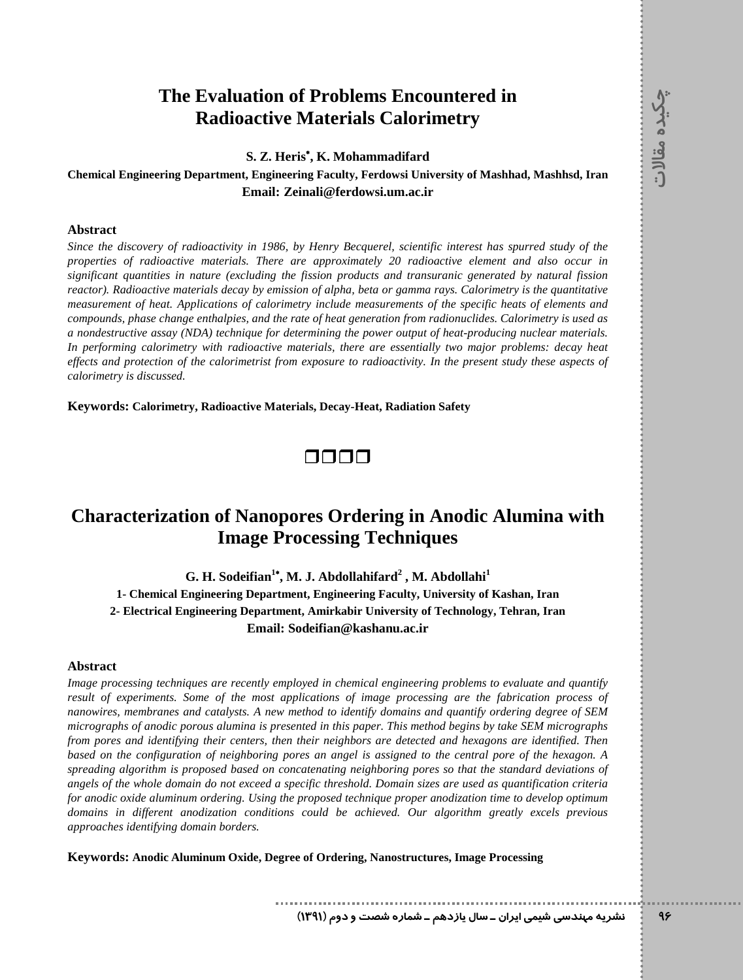# **The Evaluation of Problems Encountered in <sup>q</sup> Radioactive Materials Calorimetry**

**S. Z. Heris , K. Mohammadifard**

### **Chemical Engineering Department, Engineering Faculty, Ferdowsi University of Mashhad, Mashhsd, Iran Email: [Zeinali@ferdowsi.um.ac.ir](mailto:Zeinali@ferdowsi.um.ac.ir)**

### **Abstract**

*Since the discovery ofradioactivity in 1986, by Henry Becquerel, scientific interest has spurred study ofthe properties of radioactive materials. There are approximately 20 radioactive element and also occur in significant quantities in nature (excluding the fission products and transuranic generated by natural fission reactor). Radioactive materials decay by emission of alpha, beta or gamma rays. Calorimetry is the quantitative measurement of heat. Applications of calorimetry include measurements of the specific heats of elements and compounds, phase change enthalpies, and the rate of heat generation from radionuclides. Calorimetry is used as a nondestructive assay (NDA) technique for determining the power output of heat-producing nuclear materials. In performing calorimetry with radioactive materials, there are essentially two major problems: decay heat* effects and protection of the calorimetrist from exposure to radioactivity. In the present study these aspects of *calorimetry is discussed.*

**Keywords: Calorimetry, Radioactive Materials, Decay-Heat, Radiation Safety**



# **Characterization of Nanopores Ordering in Anodic Alumina with Image Processing Techniques**

**G. H. Sodeifian <sup>1</sup> , M. J. Abdollahifard 2 , M. Abdollahi<sup>1</sup>**

**1- Chemical Engineering Department, Engineering Faculty, University of Kashan, Iran 2- Electrical Engineering Department, Amirkabir University of Technology, Tehran, Iran Email: [Sodeifian@kashanu.ac.ir](mailto:Sodeifian@kashanu.ac.ir)**

### **Abstract**

*Image processing techniques are recently employed in chemical engineering problems to evaluate and quantify result of experiments. Some of the most applications of image processing are the fabrication process of nanowires, membranes and catalysts. A new method to identify domains and quantify ordering degree of SEM* micrographs of anodic porous alumina is presented in this paper. This method begins by take SEM micrographs *from pores and identifying their centers, then their neighbors are detected and hexagons are identified. Then* based on the configuration of neighboring pores an angel is assigned to the central pore of the hexagon. A *spreading algorithm is proposed based on concatenating neighboring pores so that the standard deviations of* angels of the whole domain do not exceed a specific threshold. Domain sizes are used as quantification criteria *for anodic oxide aluminum ordering. Using the proposed technique proper anodization time to develop optimum domains in dif erent anodization conditions could be achieved. Our algorithm greatly excels previous approaches identifying domain borders.*

**Keywords: Anodic Aluminum Oxide, Degree of Ordering, Nanostructures, Image Processing**

**¹Á{ Á d ÃZ¼ / ºÅ{ZË µZ / ½YËY 'Ì Ê|ÀÆ» ÄË¿**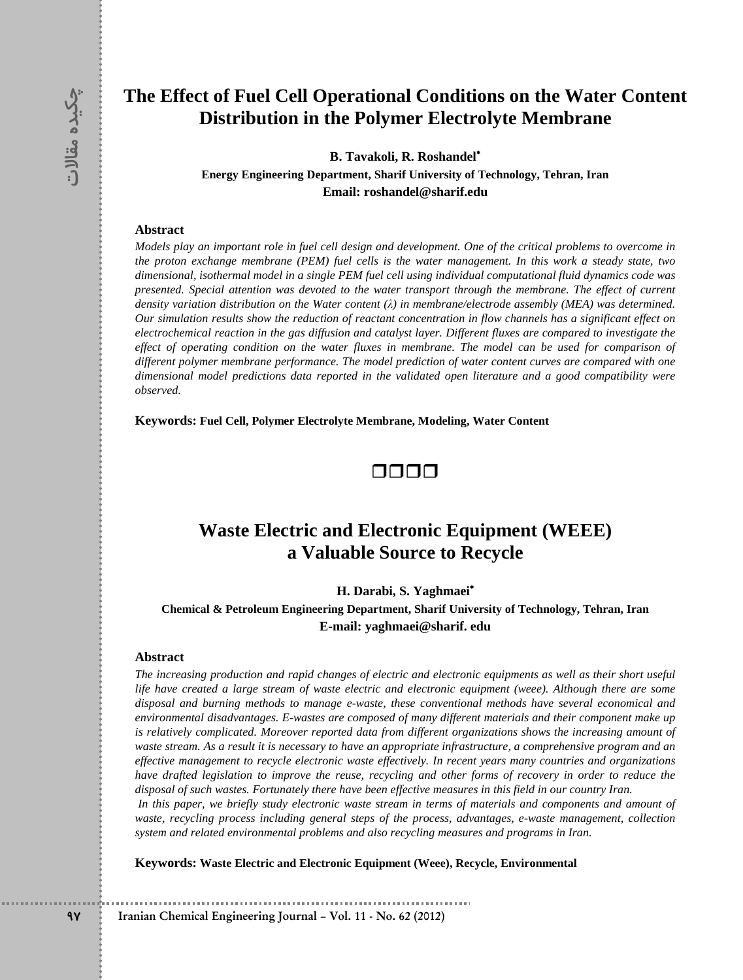## **|̰qThe Effect of Fuel Cell Operational Conditions on the Water Content Distribution in the Polymer Electrolyte Membrane**

**B. Tavakoli, R. Roshandel**

**Energy Engineering Department, Sharif University of Technology, Tehran, Iran Email: [roshandel@sharif.edu](mailto:roshandel@sharif.edu)**

#### **Abstract**

Models play an important role in fuel cell design and development. One of the critical problems to overcome in the proton exchange membrane (PEM) fuel cells is the water management. In this work a steady state, two *dimensional, isothermal model in a single PEM fuel cell using individual computational fluid dynamics code was* presented. Special attention was devoted to the water transport through the membrane. The effect of current *dimensional, isothermal model in a single PEM fuel cell using individual computational fluid dynamics code was<br>presented. Special attention was devoted to the water transport through the membrane. The effect of current<br>de* Our simulation results show the reduction of reactant concentration in flow channels has a significant effect on electrochemical reaction in the gas diffusion and catalyst layer. Different fluxes are compared to investigate the effect of operating condition on the water fluxes in membrane. The model can be used for comparison of *dif erent polymer membrane performance. The model prediction of water content curves are compared with one dimensional model predictions data reported in the validated open literature and a good compatibility were observed.*

**Keywords: Fuel Cell, Polymer Electrolyte Membrane, Modeling, Water Content**



## **Waste Electric and Electronic Equipment (WEEE) a Valuable Source to Recycle**

**H. Darabi, S. Yaghmaei**

**Chemical & Petroleum Engineering Department, Sharif University of Technology, Tehran, Iran E-mail: [yaghmaei@sharif.](mailto:yaghmaei@sharif.) edu**

#### **Abstract**

The increasing production and rapid changes of electric and electronic equipments as well as their short useful life have created a large stream of waste electric and electronic equipment (weee). Although there are some *disposal and burning methods to manage e-waste, these conventional methods have several economical and environmental disadvantages. E-wastes are composed of many dif erent materials and their component make up is relatively complicated. Moreover reported data from dif erent organizations shows the increasing amount of* waste stream. As a result it is necessary to have an appropriate infrastructure, a comprehensive program and an *ef ective management to recycle electronic waste ef ectively. In recent years many countries and organizations* have drafted legislation to improve the reuse, recycling and other forms of recovery in order to reduce the disposal of such wastes. Fortunately there have been effective measures in this field in our country Iran.

In this paper, we briefly study electronic waste stream in terms of materials and components and amount of *waste, recycling process including general steps of the process, advantages, e-waste management, collection system and related environmental problems and also recycling measures and programs in Iran.*

**Keywords: Waste Electric and Electronic Equipment (Weee), Recycle, Environmental**

**Iranian Chemical Engineering Journal ñ Vol. 11 - No. 62 (2012)**